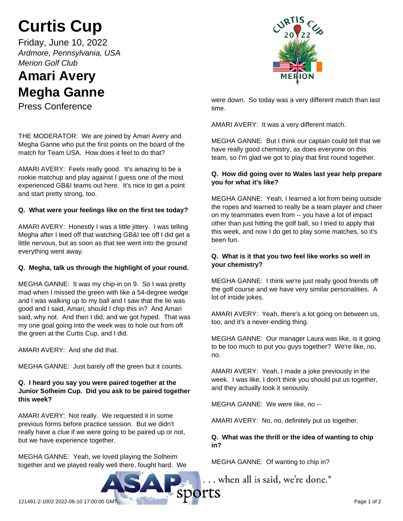# **Curtis Cup**

Friday, June 10, 2022 *Ardmore, Pennsylvania, USA Merion Golf Club*

# **Amari Avery Megha Ganne**

Press Conference

THE MODERATOR: We are joined by Amari Avery and Megha Ganne who put the first points on the board of the match for Team USA. How does it feel to do that?

AMARI AVERY: Feels really good. It's amazing to be a rookie matchup and play against I guess one of the most experienced GB&I teams out here. It's nice to get a point and start pretty strong, too.

# **Q. What were your feelings like on the first tee today?**

AMARI AVERY: Honestly I was a little jittery. I was telling Megha after I teed off that watching GB&I tee off I did get a little nervous, but as soon as that tee went into the ground everything went away.

### **Q. Megha, talk us through the highlight of your round.**

MEGHA GANNE: It was my chip-in on 9. So I was pretty mad when I missed the green with like a 54-degree wedge and I was walking up to my ball and I saw that the lie was good and I said, Amari, should I chip this in? And Amari said, why not. And then I did, and we got hyped. That was my one goal going into the week was to hole out from off the green at the Curtis Cup, and I did.

AMARI AVERY: And she did that.

MEGHA GANNE: Just barely off the green but it counts.

# **Q. I heard you say you were paired together at the Junior Solheim Cup. Did you ask to be paired together this week?**

AMARI AVERY: Not really. We requested it in some previous forms before practice session. But we didn't really have a clue if we were going to be paired up or not, but we have experience together.

MEGHA GANNE: Yeah, we loved playing the Solheim together and we played really well there, fought hard. We



were down. So today was a very different match than last time.

AMARI AVERY: It was a very different match.

MEGHA GANNE: But I think our captain could tell that we have really good chemistry, as does everyone on this team, so I'm glad we got to play that first round together.

# **Q. How did going over to Wales last year help prepare you for what it's like?**

MEGHA GANNE: Yeah, I learned a lot from being outside the ropes and learned to really be a team player and cheer on my teammates even from -- you have a lot of impact other than just hitting the golf ball, so I tried to apply that this week, and now I do get to play some matches, so it's been fun.

# **Q. What is it that you two feel like works so well in your chemistry?**

MEGHA GANNE: I think we're just really good friends off the golf course and we have very similar personalities. A lot of inside jokes.

AMARI AVERY: Yeah, there's a lot going on between us, too, and it's a never-ending thing.

MEGHA GANNE: Our manager Laura was like, is it going to be too much to put you guys together? We're like, no, no.

AMARI AVERY: Yeah, I made a joke previously in the week. I was like, I don't think you should put us together, and they actually took it seriously.

MEGHA GANNE: We were like, no --

AMARI AVERY: No, no, definitely put us together.

# **Q. What was the thrill or the idea of wanting to chip in?**

MEGHA GANNE: Of wanting to chip in?

... when all is said, we're done.<sup>®</sup>